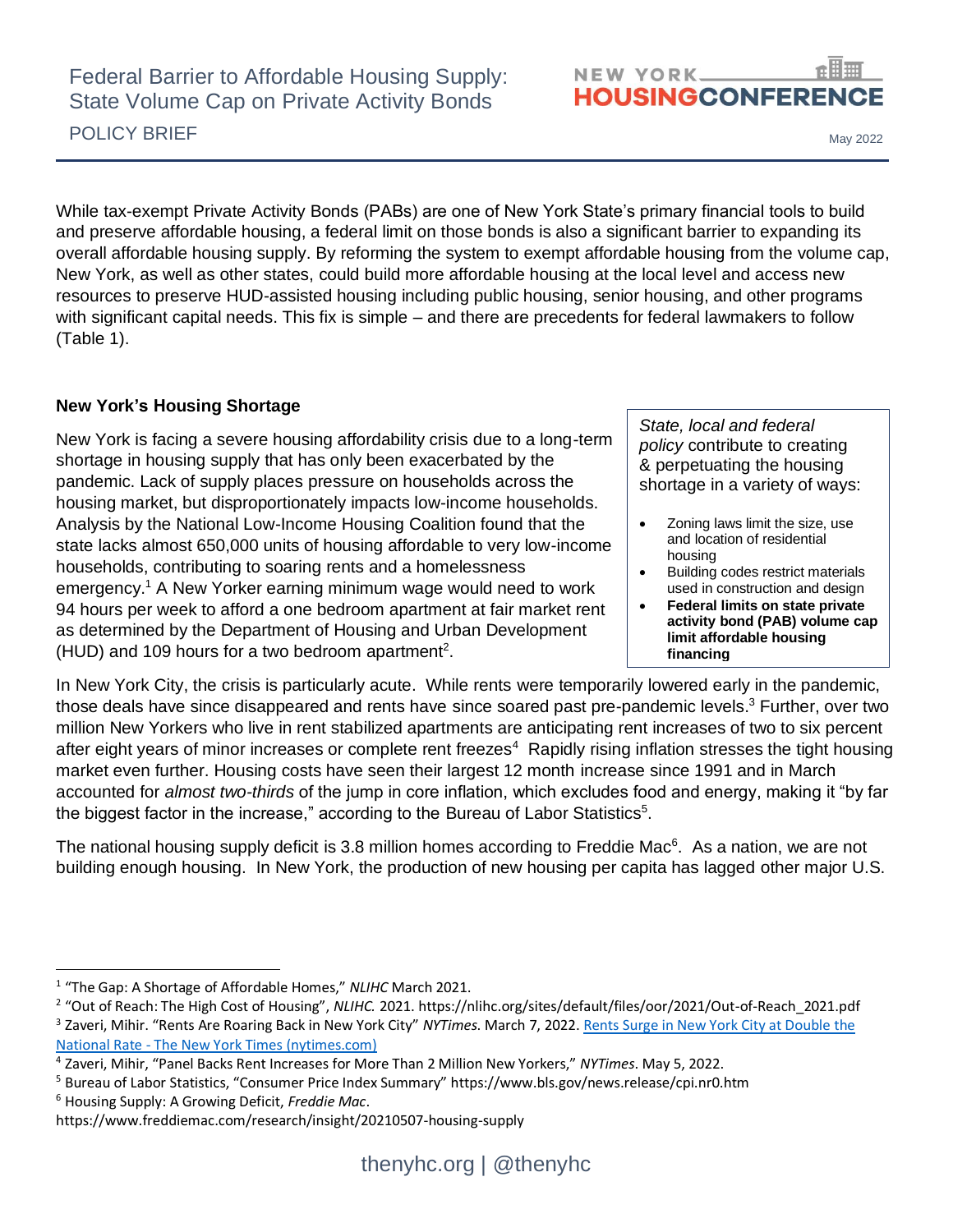

POLICY BRIEF May 2022

While tax-exempt Private Activity Bonds (PABs) are one of New York State's primary financial tools to build and preserve affordable housing, a federal limit on those bonds is also a significant barrier to expanding its overall affordable housing supply. By reforming the system to exempt affordable housing from the volume cap, New York, as well as other states, could build more affordable housing at the local level and access new resources to preserve HUD-assisted housing including public housing, senior housing, and other programs with significant capital needs. This fix is simple – and there are precedents for federal lawmakers to follow (Table 1).

## **New York's Housing Shortage**

New York is facing a severe housing affordability crisis due to a long-term shortage in housing supply that has only been exacerbated by the pandemic. Lack of supply places pressure on households across the housing market, but disproportionately impacts low-income households. Analysis by the National Low-Income Housing Coalition found that the state lacks almost 650,000 units of housing affordable to very low-income households, contributing to soaring rents and a homelessness emergency.<sup>1</sup> A New Yorker earning minimum wage would need to work 94 hours per week to afford a one bedroom apartment at fair market rent as determined by the Department of Housing and Urban Development (HUD) and 109 hours for a two bedroom apartment<sup>2</sup>.

*State, local and federal policy* contribute to creating & perpetuating the housing shortage in a variety of ways:

- Zoning laws limit the size, use and location of residential housing
- Building codes restrict materials used in construction and design
- **Federal limits on state private activity bond (PAB) volume cap limit affordable housing financing**

In New York City, the crisis is particularly acute. While rents were temporarily lowered early in the pandemic, those deals have since disappeared and rents have since soared past pre-pandemic levels. <sup>3</sup> Further, over two million New Yorkers who live in rent stabilized apartments are anticipating rent increases of two to six percent after eight years of minor increases or complete rent freezes<sup>4</sup> Rapidly rising inflation stresses the tight housing market even further. Housing costs have seen their largest 12 month increase since 1991 and in March accounted for *almost two-thirds* of the jump in core inflation, which excludes food and energy, making it "by far the biggest factor in the increase," according to the Bureau of Labor Statistics $5$ .

The national housing supply deficit is 3.8 million homes according to Freddie Mac<sup>6</sup>. As a nation, we are not building enough housing. In New York, the production of new housing per capita has lagged other major U.S.

<sup>6</sup> Housing Supply: A Growing Deficit, *Freddie Mac*.

<sup>1</sup> "The Gap: A Shortage of Affordable Homes," *NLIHC* March 2021.

<sup>2</sup> "Out of Reach: The High Cost of Housing", *NLIHC.* 2021. https://nlihc.org/sites/default/files/oor/2021/Out-of-Reach\_2021.pdf <sup>3</sup> Zaveri, Mihir. "Rents Are Roaring Back in New York City" *NYTimes*. March 7, 2022. <u>Rents Surge in New York City at Double the</u> National Rate - [The New York Times \(nytimes.com\)](https://www.nytimes.com/2022/03/07/nyregion/nyc-rent-surge.html?msclkid=be66d62cb04111eca1462299ebff5e86)

<sup>4</sup> Zaveri, Mihir, "Panel Backs Rent Increases for More Than 2 Million New Yorkers," *NYTimes*. May 5, 2022.

<sup>5</sup> Bureau of Labor Statistics, "Consumer Price Index Summary" https://www.bls.gov/news.release/cpi.nr0.htm

https://www.freddiemac.com/research/insight/20210507-housing-supply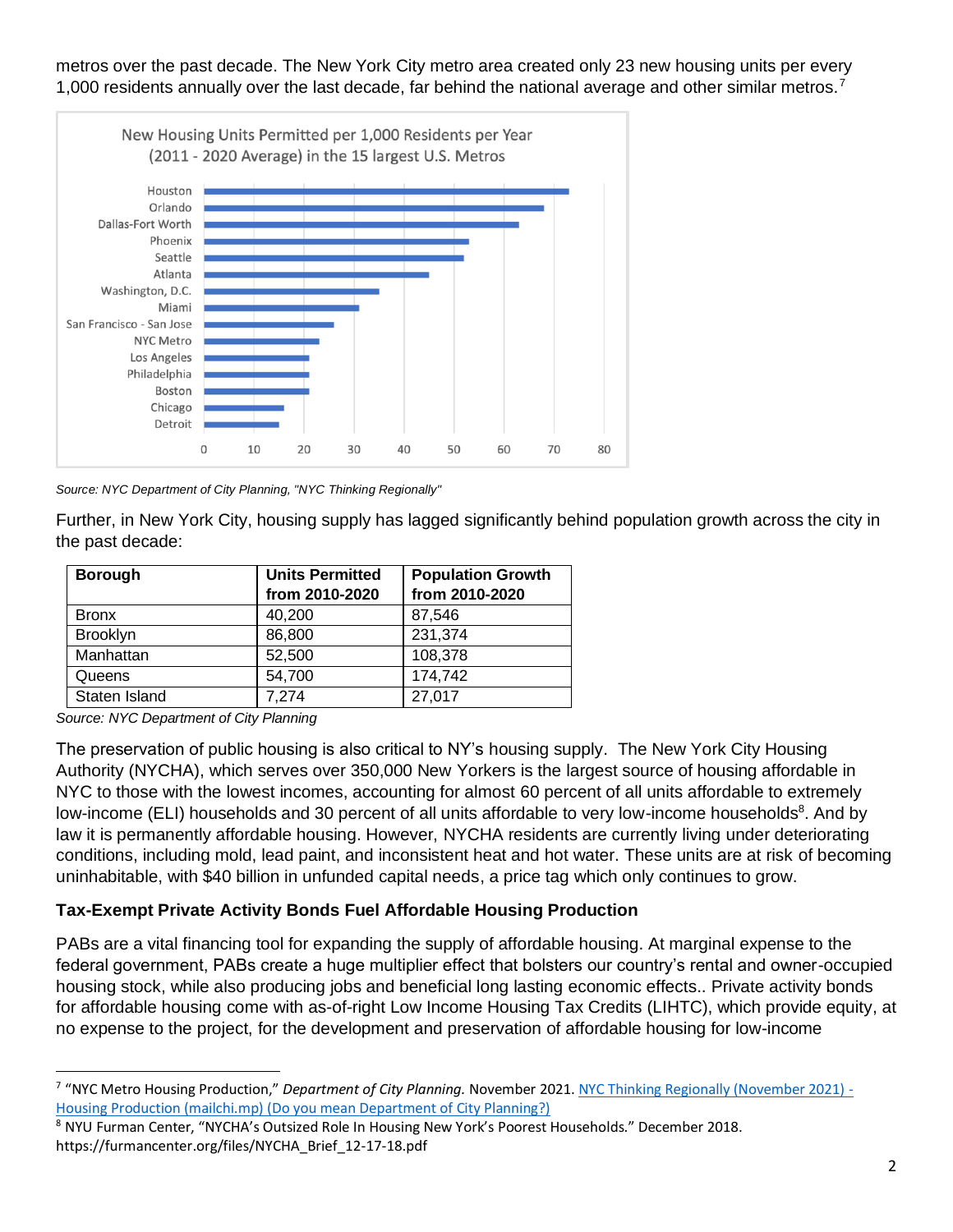metros over the past decade. The New York City metro area created only 23 new housing units per every 1,000 residents annually over the last decade, far behind the national average and other similar metros.<sup>7</sup>



*Source: NYC Department of City Planning, "NYC Thinking Regionally"*

Further, in New York City, housing supply has lagged significantly behind population growth across the city in the past decade:

| <b>Borough</b>  | <b>Units Permitted</b><br>from 2010-2020 | <b>Population Growth</b><br>from 2010-2020 |
|-----------------|------------------------------------------|--------------------------------------------|
| <b>Bronx</b>    | 40,200                                   | 87,546                                     |
| <b>Brooklyn</b> | 86,800                                   | 231,374                                    |
| Manhattan       | 52,500                                   | 108,378                                    |
| Queens          | 54,700                                   | 174,742                                    |
| Staten Island   | 7,274                                    | 27,017                                     |

*Source: NYC Department of City Planning*

The preservation of public housing is also critical to NY's housing supply. The New York City Housing Authority (NYCHA), which serves over 350,000 New Yorkers is the largest source of housing affordable in NYC to those with the lowest incomes, accounting for almost 60 percent of all units affordable to extremely low-income (ELI) households and 30 percent of all units affordable to very low-income households<sup>8</sup>. And by law it is permanently affordable housing. However, NYCHA residents are currently living under deteriorating conditions, including mold, lead paint, and inconsistent heat and hot water. These units are at risk of becoming uninhabitable, with \$40 billion in unfunded capital needs, a price tag which only continues to grow.

## **Tax-Exempt Private Activity Bonds Fuel Affordable Housing Production**

PABs are a vital financing tool for expanding the supply of affordable housing. At marginal expense to the federal government, PABs create a huge multiplier effect that bolsters our country's rental and owner-occupied housing stock, while also producing jobs and beneficial long lasting economic effects.. Private activity bonds for affordable housing come with as-of-right Low Income Housing Tax Credits (LIHTC), which provide equity, at no expense to the project, for the development and preservation of affordable housing for low-income

<sup>&</sup>lt;sup>7</sup> "NYC Metro Housing Production," *Department of City Planning*. November 2021. <u>NYC Thinking Regionally (November 2021)</u> -[Housing Production \(mailchi.mp\)](https://mailchi.mp/planning.nyc.gov/november-2021-housing-production?e=%5bUNIQID%5d) (Do you mean Department of City Planning?)

<sup>8</sup> NYU Furman Center, "NYCHA's Outsized Role In Housing New York's Poorest Households." December 2018. https://furmancenter.org/files/NYCHA\_Brief\_12-17-18.pdf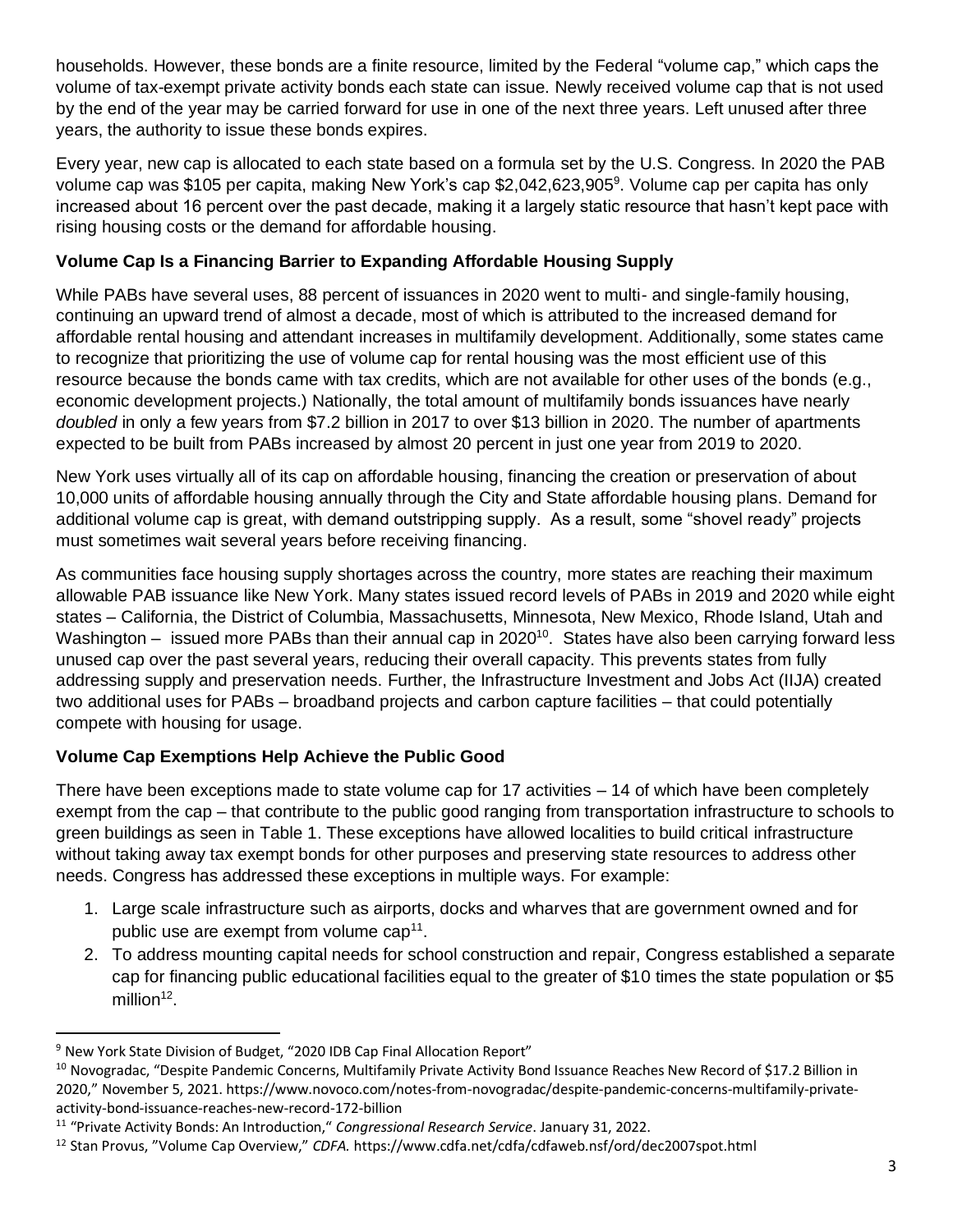households. However, these bonds are a finite resource, limited by the Federal "volume cap," which caps the volume of tax-exempt private activity bonds each state can issue. Newly received volume cap that is not used by the end of the year may be carried forward for use in one of the next three years. Left unused after three years, the authority to issue these bonds expires.

Every year, new cap is allocated to each state based on a formula set by the U.S. Congress. In 2020 the PAB volume cap was \$105 per capita, making New York's cap \$2,042,623,905<sup>9</sup>. Volume cap per capita has only increased about 16 percent over the past decade, making it a largely static resource that hasn't kept pace with rising housing costs or the demand for affordable housing.

# **Volume Cap Is a Financing Barrier to Expanding Affordable Housing Supply**

While PABs have several uses, 88 percent of issuances in 2020 went to multi- and single-family housing, continuing an upward trend of almost a decade, most of which is attributed to the increased demand for affordable rental housing and attendant increases in multifamily development. Additionally, some states came to recognize that prioritizing the use of volume cap for rental housing was the most efficient use of this resource because the bonds came with tax credits, which are not available for other uses of the bonds (e.g., economic development projects.) Nationally, the total amount of multifamily bonds issuances have nearly *doubled* in only a few years from \$7.2 billion in 2017 to over \$13 billion in 2020. The number of apartments expected to be built from PABs increased by almost 20 percent in just one year from 2019 to 2020.

New York uses virtually all of its cap on affordable housing, financing the creation or preservation of about 10,000 units of affordable housing annually through the City and State affordable housing plans. Demand for additional volume cap is great, with demand outstripping supply. As a result, some "shovel ready" projects must sometimes wait several years before receiving financing.

As communities face housing supply shortages across the country, more states are reaching their maximum allowable PAB issuance like New York. Many states issued record levels of PABs in 2019 and 2020 while eight states – California, the District of Columbia, Massachusetts, Minnesota, New Mexico, Rhode Island, Utah and Washington – issued more PABs than their annual cap in 2020<sup>10</sup>. States have also been carrying forward less unused cap over the past several years, reducing their overall capacity. This prevents states from fully addressing supply and preservation needs. Further, the Infrastructure Investment and Jobs Act (IIJA) created two additional uses for PABs – broadband projects and carbon capture facilities – that could potentially compete with housing for usage.

# **Volume Cap Exemptions Help Achieve the Public Good**

There have been exceptions made to state volume cap for 17 activities – 14 of which have been completely exempt from the cap – that contribute to the public good ranging from transportation infrastructure to schools to green buildings as seen in Table 1. These exceptions have allowed localities to build critical infrastructure without taking away tax exempt bonds for other purposes and preserving state resources to address other needs. Congress has addressed these exceptions in multiple ways. For example:

- 1. Large scale infrastructure such as airports, docks and wharves that are government owned and for public use are exempt from volume cap<sup>11</sup>.
- 2. To address mounting capital needs for school construction and repair, Congress established a separate cap for financing public educational facilities equal to the greater of \$10 times the state population or \$5 million $^{12}$ .

<sup>&</sup>lt;sup>9</sup> New York State Division of Budget, "2020 IDB Cap Final Allocation Report"

<sup>&</sup>lt;sup>10</sup> Novogradac, "Despite Pandemic Concerns, Multifamily Private Activity Bond Issuance Reaches New Record of \$17.2 Billion in 2020," November 5, 2021. https://www.novoco.com/notes-from-novogradac/despite-pandemic-concerns-multifamily-privateactivity-bond-issuance-reaches-new-record-172-billion

<sup>11</sup> "Private Activity Bonds: An Introduction," *Congressional Research Service*. January 31, 2022.

<sup>12</sup> Stan Provus, "Volume Cap Overview," *CDFA.* https://www.cdfa.net/cdfa/cdfaweb.nsf/ord/dec2007spot.html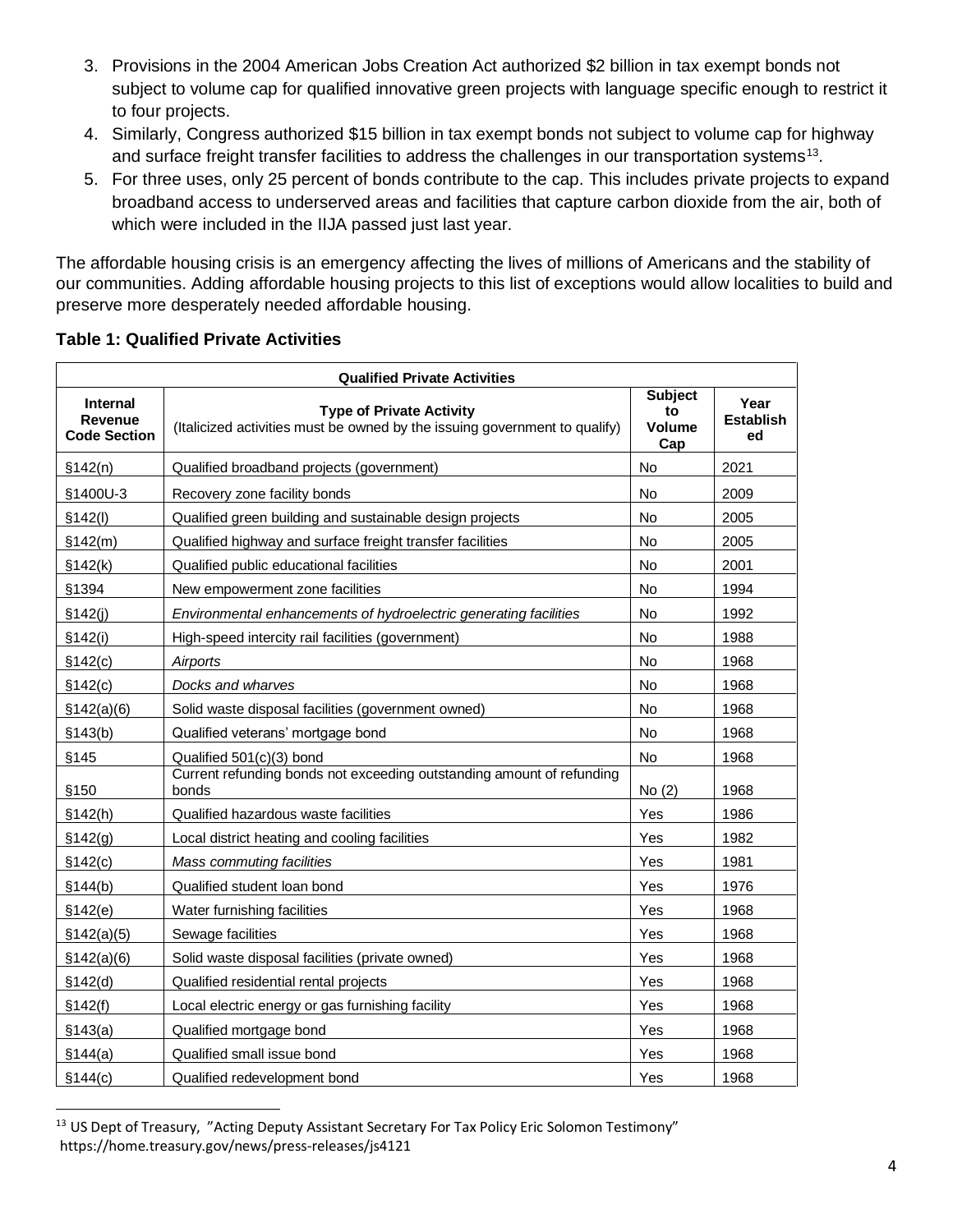- 3. Provisions in the 2004 American Jobs Creation Act authorized \$2 billion in tax exempt bonds not subject to volume cap for qualified innovative green projects with language specific enough to restrict it to four projects.
- 4. Similarly, Congress authorized \$15 billion in tax exempt bonds not subject to volume cap for highway and surface freight transfer facilities to address the challenges in our transportation systems<sup>13</sup>.
- 5. For three uses, only 25 percent of bonds contribute to the cap. This includes private projects to expand broadband access to underserved areas and facilities that capture carbon dioxide from the air, both of which were included in the IIJA passed just last year.

The affordable housing crisis is an emergency affecting the lives of millions of Americans and the stability of our communities. Adding affordable housing projects to this list of exceptions would allow localities to build and preserve more desperately needed affordable housing.

| <b>Qualified Private Activities</b>               |                                                                                                               |                                       |                                |  |  |
|---------------------------------------------------|---------------------------------------------------------------------------------------------------------------|---------------------------------------|--------------------------------|--|--|
| Internal<br><b>Revenue</b><br><b>Code Section</b> | <b>Type of Private Activity</b><br>(Italicized activities must be owned by the issuing government to qualify) | <b>Subject</b><br>to<br>Volume<br>Cap | Year<br><b>Establish</b><br>ed |  |  |
| \$142(n)                                          | Qualified broadband projects (government)                                                                     | <b>No</b>                             | 2021                           |  |  |
| §1400U-3                                          | Recovery zone facility bonds                                                                                  | No                                    | 2009                           |  |  |
| \$142(l)                                          | Qualified green building and sustainable design projects                                                      | No                                    | 2005                           |  |  |
| \$142(m)                                          | Qualified highway and surface freight transfer facilities                                                     | No                                    | 2005                           |  |  |
| \$142(k)                                          | Qualified public educational facilities                                                                       | No                                    | 2001                           |  |  |
| §1394                                             | New empowerment zone facilities                                                                               | No                                    | 1994                           |  |  |
| \$142(i)                                          | Environmental enhancements of hydroelectric generating facilities                                             | <b>No</b>                             | 1992                           |  |  |
| §142(i)                                           | High-speed intercity rail facilities (government)                                                             | <b>No</b>                             | 1988                           |  |  |
| §142(c)                                           | Airports                                                                                                      | <b>No</b>                             | 1968                           |  |  |
| \$142(c)                                          | Docks and wharves                                                                                             | <b>No</b>                             | 1968                           |  |  |
| \$142(a)(6)                                       | Solid waste disposal facilities (government owned)                                                            | No                                    | 1968                           |  |  |
| \$143(b)                                          | Qualified veterans' mortgage bond                                                                             | No                                    | 1968                           |  |  |
| §145                                              | Qualified 501(c)(3) bond                                                                                      | No                                    | 1968                           |  |  |
| §150                                              | Current refunding bonds not exceeding outstanding amount of refunding<br>bonds                                | No(2)                                 | 1968                           |  |  |
| \$142(h)                                          | Qualified hazardous waste facilities                                                                          | Yes                                   | 1986                           |  |  |
| §142(g)                                           | Local district heating and cooling facilities                                                                 | Yes                                   | 1982                           |  |  |
| \$142(c)                                          | Mass commuting facilities                                                                                     | Yes                                   | 1981                           |  |  |
| \$144(b)                                          | Qualified student loan bond                                                                                   | Yes                                   | 1976                           |  |  |
| \$142(e)                                          | Water furnishing facilities                                                                                   | Yes                                   | 1968                           |  |  |
| \$142(a)(5)                                       | Sewage facilities                                                                                             | Yes                                   | 1968                           |  |  |
| \$142(a)(6)                                       | Solid waste disposal facilities (private owned)                                                               | Yes                                   | 1968                           |  |  |
| \$142(d)                                          | Qualified residential rental projects                                                                         | Yes                                   | 1968                           |  |  |
| §142(f)                                           | Local electric energy or gas furnishing facility                                                              | Yes                                   | 1968                           |  |  |
| \$143(a)                                          | Qualified mortgage bond                                                                                       | Yes                                   | 1968                           |  |  |
| §144(a)                                           | Qualified small issue bond                                                                                    | Yes                                   | 1968                           |  |  |
| \$144(c)                                          | Qualified redevelopment bond                                                                                  | Yes                                   | 1968                           |  |  |

## **Table 1: Qualified Private Activities**

<sup>&</sup>lt;sup>13</sup> US Dept of Treasury, "Acting Deputy Assistant Secretary For Tax Policy Eric Solomon Testimony" https://home.treasury.gov/news/press-releases/js4121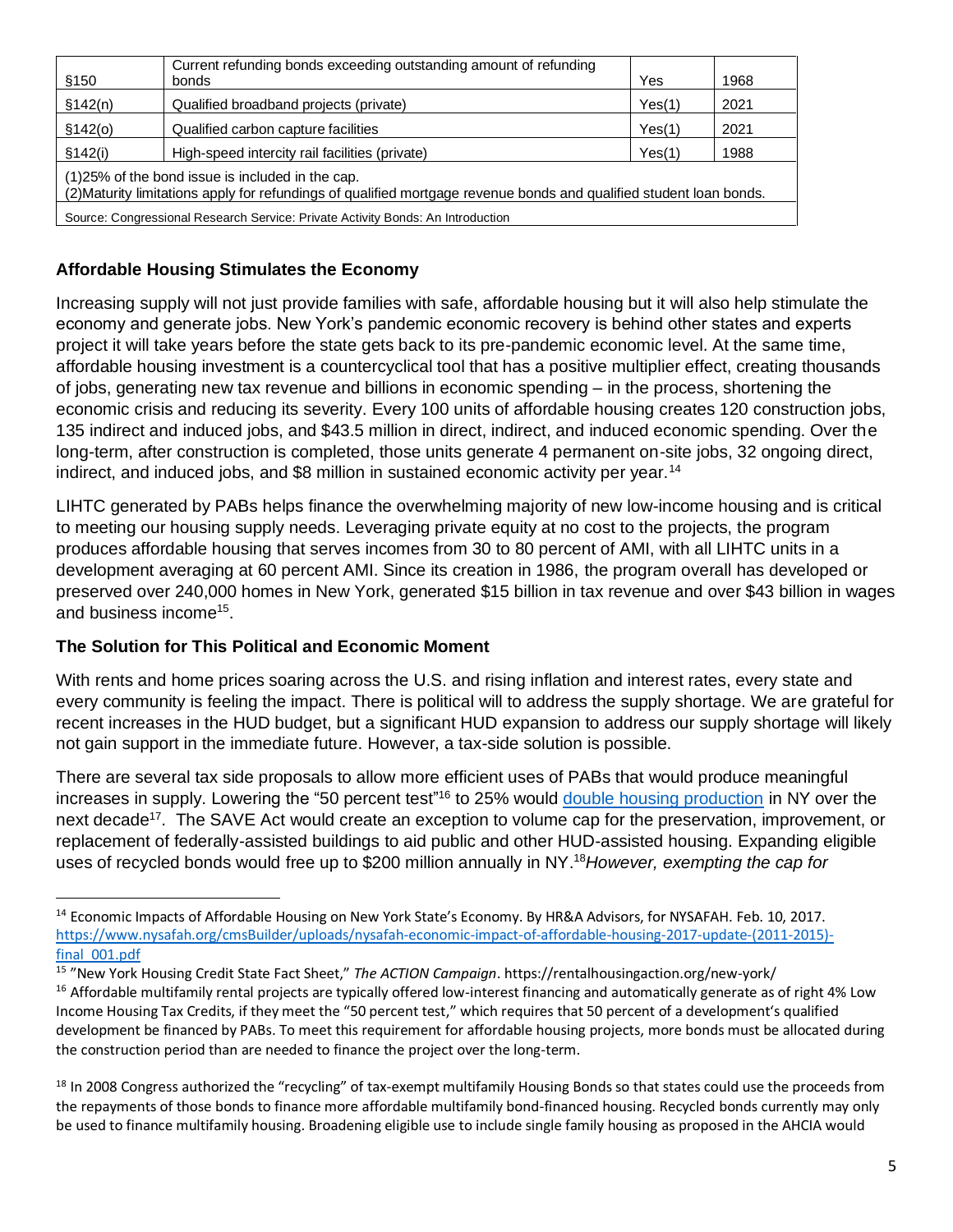| §150                                                                                                                                                                    | Current refunding bonds exceeding outstanding amount of refunding<br>bonds | Yes    | 1968 |  |
|-------------------------------------------------------------------------------------------------------------------------------------------------------------------------|----------------------------------------------------------------------------|--------|------|--|
| \$142(n)                                                                                                                                                                | Qualified broadband projects (private)                                     | Yes(1) | 2021 |  |
| \$142(0)                                                                                                                                                                | Qualified carbon capture facilities                                        | Yes(1) | 2021 |  |
| \$142(i)                                                                                                                                                                | High-speed intercity rail facilities (private)                             | Yes(1) | 1988 |  |
| (1)25% of the bond issue is included in the cap.<br>(2) Maturity limitations apply for refundings of qualified mortgage revenue bonds and qualified student loan bonds. |                                                                            |        |      |  |
| Source: Congressional Research Service: Private Activity Bonds: An Introduction                                                                                         |                                                                            |        |      |  |

# **Affordable Housing Stimulates the Economy**

Increasing supply will not just provide families with safe, affordable housing but it will also help stimulate the economy and generate jobs. New York's pandemic economic recovery is behind other states and experts project it will take years before the state gets back to its pre-pandemic economic level. At the same time, affordable housing investment is a countercyclical tool that has a positive multiplier effect, creating thousands of jobs, generating new tax revenue and billions in economic spending – in the process, shortening the economic crisis and reducing its severity. Every 100 units of affordable housing creates 120 construction jobs, 135 indirect and induced jobs, and \$43.5 million in direct, indirect, and induced economic spending. Over the long-term, after construction is completed, those units generate 4 permanent on-site jobs, 32 ongoing direct, indirect, and induced jobs, and \$8 million in sustained economic activity per year.<sup>14</sup>

LIHTC generated by PABs helps finance the overwhelming majority of new low-income housing and is critical to meeting our housing supply needs. Leveraging private equity at no cost to the projects, the program produces affordable housing that serves incomes from 30 to 80 percent of AMI, with all LIHTC units in a development averaging at 60 percent AMI. Since its creation in 1986, the program overall has developed or preserved over 240,000 homes in New York, generated \$15 billion in tax revenue and over \$43 billion in wages and business income<sup>15</sup>.

## **The Solution for This Political and Economic Moment**

With rents and home prices soaring across the U.S. and rising inflation and interest rates, every state and every community is feeling the impact. There is political will to address the supply shortage. We are grateful for recent increases in the HUD budget, but a significant HUD expansion to address our supply shortage will likely not gain support in the immediate future. However, a tax-side solution is possible.

There are several tax side proposals to allow more efficient uses of PABs that would produce meaningful increases in supply. Lowering the "50 percent test"<sup>16</sup> to 25% would [double housing production](http://thenyhc.org/wp-content/uploads/2021/08/PAB_Brief_Final.pdf) in NY over the next decade<sup>17</sup>. The SAVE Act would create an exception to volume cap for the preservation, improvement, or replacement of federally-assisted buildings to aid public and other HUD-assisted housing. Expanding eligible uses of recycled bonds would free up to \$200 million annually in NY. <sup>18</sup>*However, exempting the cap for* 

<sup>&</sup>lt;sup>14</sup> Economic Impacts of Affordable Housing on New York State's Economy. By HR&A Advisors, for NYSAFAH. Feb. 10, 2017. https://www.nysafah.org/cmsBuilder/uploads/nysafah-economic-impact-of-affordable-housing-2017-update-(2011-2015) final\_001.pdf

<sup>15</sup> "New York Housing Credit State Fact Sheet," *The ACTION Campaign*. https://rentalhousingaction.org/new-york/

<sup>&</sup>lt;sup>16</sup> Affordable multifamily rental projects are typically offered low-interest financing and automatically generate as of right 4% Low Income Housing Tax Credits, if they meet the "50 percent test," which requires that 50 percent of a development's qualified development be financed by PABs. To meet this requirement for affordable housing projects, more bonds must be allocated during the construction period than are needed to finance the project over the long-term.

<sup>&</sup>lt;sup>18</sup> In 2008 Congress authorized the "recycling" of tax-exempt multifamily Housing Bonds so that states could use the proceeds from the repayments of those bonds to finance more affordable multifamily bond-financed housing. Recycled bonds currently may only be used to finance multifamily housing. Broadening eligible use to include single family housing as proposed in the AHCIA would